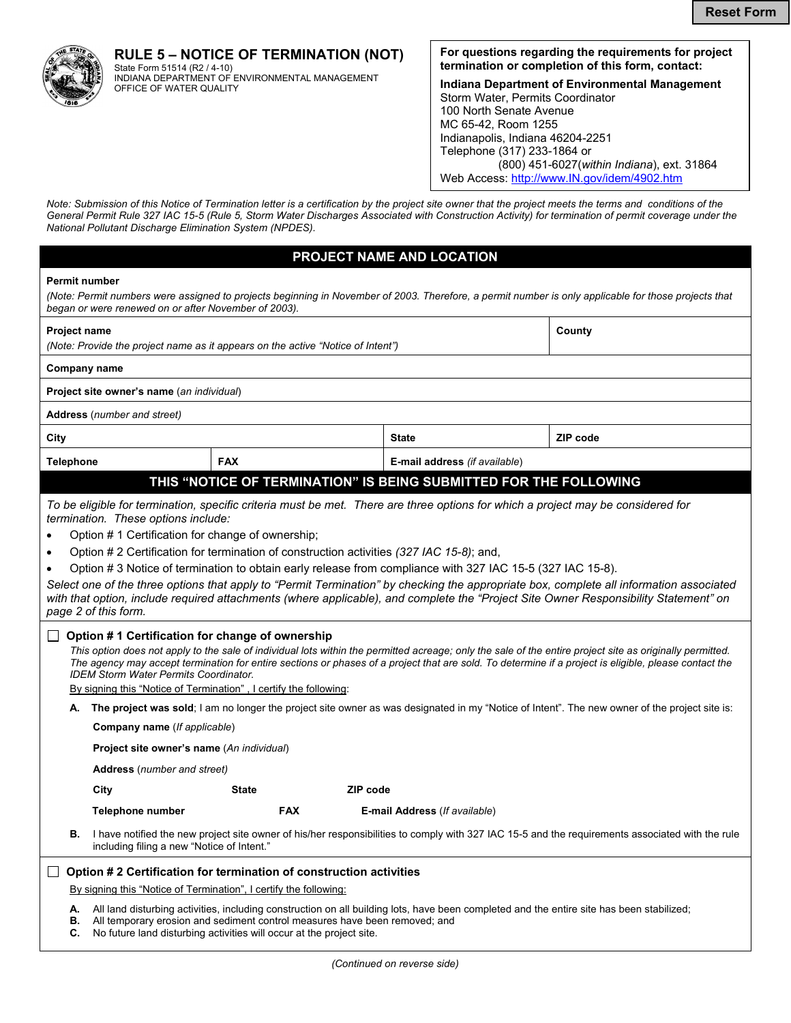

**RULE 5 – NOTICE OF TERMINATION (NOT)** State Form 51514 (R2 / 4-10)<br>INDIANA DEPARTMENT OF ENVIRONMENTAL MANAGEMENT

OFFICE OF WATER QUALITY

### **For questions regarding the requirements for project termination or completion of this form, contact:**

**Indiana Department of Environmental Management**  Storm Water, Permits Coordinator 100 North Senate Avenue MC 65-42, Room 1255 Indianapolis, Indiana 46204-2251 Telephone (317) 233-1864 or (800) 451-6027(*within Indiana*), ext. 31864 Web Access: http://www.IN.gov/idem/4902.htm

*Note: Submission of this Notice of Termination letter is a certification by the project site owner that the project meets the terms and conditions of the General Permit Rule 327 IAC 15-5 (Rule 5, Storm Water Discharges Associated with Construction Activity) for termination of permit coverage under the National Pollutant Discharge Elimination System (NPDES).* 

# **PROJECT NAME AND LOCATION**

|  | <b>Permit number</b> |
|--|----------------------|
|--|----------------------|

*(Note: Permit numbers were assigned to projects beginning in November of 2003. Therefore, a permit number is only applicable for those projects that began or were renewed on or after November of 2003).*

| <b>Project name</b><br>(Note: Provide the project name as it appears on the active "Notice of Intent")                                                                                                                                                                                                                                                                                                                                                                                                                                                                                                                                                                                                                                                                                                                                                                                                                                                                                                                                                                                                                                                                                                  |                                            |                               | County          |                                               |                                                                                                                                                  |  |
|---------------------------------------------------------------------------------------------------------------------------------------------------------------------------------------------------------------------------------------------------------------------------------------------------------------------------------------------------------------------------------------------------------------------------------------------------------------------------------------------------------------------------------------------------------------------------------------------------------------------------------------------------------------------------------------------------------------------------------------------------------------------------------------------------------------------------------------------------------------------------------------------------------------------------------------------------------------------------------------------------------------------------------------------------------------------------------------------------------------------------------------------------------------------------------------------------------|--------------------------------------------|-------------------------------|-----------------|-----------------------------------------------|--------------------------------------------------------------------------------------------------------------------------------------------------|--|
| Company name                                                                                                                                                                                                                                                                                                                                                                                                                                                                                                                                                                                                                                                                                                                                                                                                                                                                                                                                                                                                                                                                                                                                                                                            |                                            |                               |                 |                                               |                                                                                                                                                  |  |
| Project site owner's name (an individual)                                                                                                                                                                                                                                                                                                                                                                                                                                                                                                                                                                                                                                                                                                                                                                                                                                                                                                                                                                                                                                                                                                                                                               |                                            |                               |                 |                                               |                                                                                                                                                  |  |
| Address (number and street)                                                                                                                                                                                                                                                                                                                                                                                                                                                                                                                                                                                                                                                                                                                                                                                                                                                                                                                                                                                                                                                                                                                                                                             |                                            |                               |                 |                                               |                                                                                                                                                  |  |
| City                                                                                                                                                                                                                                                                                                                                                                                                                                                                                                                                                                                                                                                                                                                                                                                                                                                                                                                                                                                                                                                                                                                                                                                                    |                                            |                               |                 | <b>State</b>                                  | ZIP code                                                                                                                                         |  |
| <b>Telephone</b><br><b>FAX</b>                                                                                                                                                                                                                                                                                                                                                                                                                                                                                                                                                                                                                                                                                                                                                                                                                                                                                                                                                                                                                                                                                                                                                                          |                                            | E-mail address (if available) |                 |                                               |                                                                                                                                                  |  |
| THIS "NOTICE OF TERMINATION" IS BEING SUBMITTED FOR THE FOLLOWING                                                                                                                                                                                                                                                                                                                                                                                                                                                                                                                                                                                                                                                                                                                                                                                                                                                                                                                                                                                                                                                                                                                                       |                                            |                               |                 |                                               |                                                                                                                                                  |  |
| To be eligible for termination, specific criteria must be met. There are three options for which a project may be considered for<br>termination. These options include:<br>Option #1 Certification for change of ownership;<br>Option # 2 Certification for termination of construction activities (327 IAC 15-8); and,<br>$\bullet$<br>Option # 3 Notice of termination to obtain early release from compliance with 327 IAC 15-5 (327 IAC 15-8).<br>$\bullet$<br>Select one of the three options that apply to "Permit Termination" by checking the appropriate box, complete all information associated<br>with that option, include required attachments (where applicable), and complete the "Project Site Owner Responsibility Statement" on<br>page 2 of this form.<br>Option #1 Certification for change of ownership<br>$\perp$<br>This option does not apply to the sale of individual lots within the permitted acreage; only the sale of the entire project site as originally permitted.<br>The agency may accept termination for entire sections or phases of a project that are sold. To determine if a project is eligible, please contact the<br>IDEM Storm Water Permits Coordinator. |                                            |                               |                 |                                               |                                                                                                                                                  |  |
| By signing this "Notice of Termination", I certify the following:<br>A. The project was sold; I am no longer the project site owner as was designated in my "Notice of Intent". The new owner of the project site is:                                                                                                                                                                                                                                                                                                                                                                                                                                                                                                                                                                                                                                                                                                                                                                                                                                                                                                                                                                                   |                                            |                               |                 |                                               |                                                                                                                                                  |  |
| Company name (If applicable)                                                                                                                                                                                                                                                                                                                                                                                                                                                                                                                                                                                                                                                                                                                                                                                                                                                                                                                                                                                                                                                                                                                                                                            |                                            |                               |                 |                                               |                                                                                                                                                  |  |
|                                                                                                                                                                                                                                                                                                                                                                                                                                                                                                                                                                                                                                                                                                                                                                                                                                                                                                                                                                                                                                                                                                                                                                                                         | Project site owner's name (An individual)  |                               |                 |                                               |                                                                                                                                                  |  |
|                                                                                                                                                                                                                                                                                                                                                                                                                                                                                                                                                                                                                                                                                                                                                                                                                                                                                                                                                                                                                                                                                                                                                                                                         | <b>Address</b> (number and street)         |                               |                 |                                               |                                                                                                                                                  |  |
|                                                                                                                                                                                                                                                                                                                                                                                                                                                                                                                                                                                                                                                                                                                                                                                                                                                                                                                                                                                                                                                                                                                                                                                                         | City                                       | <b>State</b>                  | <b>ZIP</b> code |                                               |                                                                                                                                                  |  |
|                                                                                                                                                                                                                                                                                                                                                                                                                                                                                                                                                                                                                                                                                                                                                                                                                                                                                                                                                                                                                                                                                                                                                                                                         | Telephone number                           | <b>FAX</b>                    |                 | <b>E-mail Address</b> ( <i>If available</i> ) |                                                                                                                                                  |  |
| В.                                                                                                                                                                                                                                                                                                                                                                                                                                                                                                                                                                                                                                                                                                                                                                                                                                                                                                                                                                                                                                                                                                                                                                                                      | including filing a new "Notice of Intent." |                               |                 |                                               | I have notified the new project site owner of his/her responsibilities to comply with 327 IAC 15-5 and the requirements associated with the rule |  |
| Option #2 Certification for termination of construction activities<br>$\Box$                                                                                                                                                                                                                                                                                                                                                                                                                                                                                                                                                                                                                                                                                                                                                                                                                                                                                                                                                                                                                                                                                                                            |                                            |                               |                 |                                               |                                                                                                                                                  |  |
| By signing this "Notice of Termination", I certify the following:                                                                                                                                                                                                                                                                                                                                                                                                                                                                                                                                                                                                                                                                                                                                                                                                                                                                                                                                                                                                                                                                                                                                       |                                            |                               |                 |                                               |                                                                                                                                                  |  |
| All land disturbing activities, including construction on all building lots, have been completed and the entire site has been stabilized;<br>А.<br>All temporary erosion and sediment control measures have been removed; and<br>В.<br>No future land disturbing activities will occur at the project site.<br>C.                                                                                                                                                                                                                                                                                                                                                                                                                                                                                                                                                                                                                                                                                                                                                                                                                                                                                       |                                            |                               |                 |                                               |                                                                                                                                                  |  |